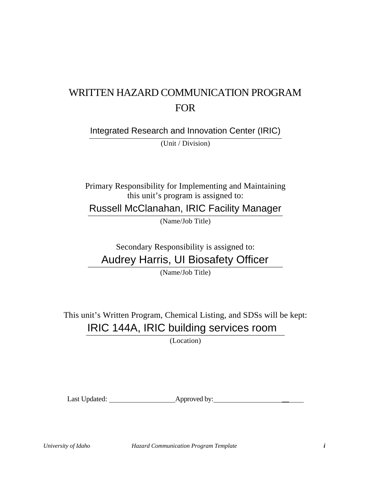# WRITTEN HAZARD COMMUNICATION PROGRAM FOR

Integrated Research and Innovation Center (IRIC)

(Unit / Division)

# Primary Responsibility for Implementing and Maintaining this unit's program is assigned to: Russell McClanahan, IRIC Facility Manager

(Name/Job Title)

Secondary Responsibility is assigned to: Audrey Harris, UI Biosafety Officer

(Name/Job Title)

This unit's Written Program, Chemical Listing, and SDSs will be kept: IRIC 144A, IRIC building services room

(Location)

Last Updated: Approved by: \_\_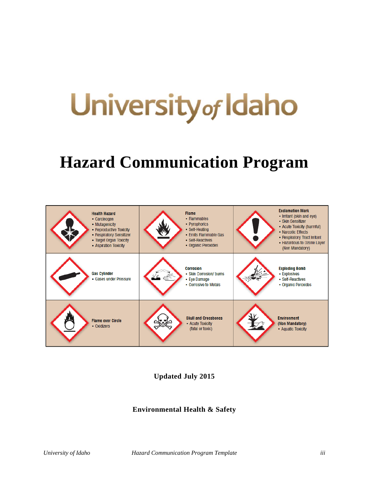# University of Idaho

# **Hazard Communication Program**



#### **Updated July 2015**

#### **Environmental Health & Safety**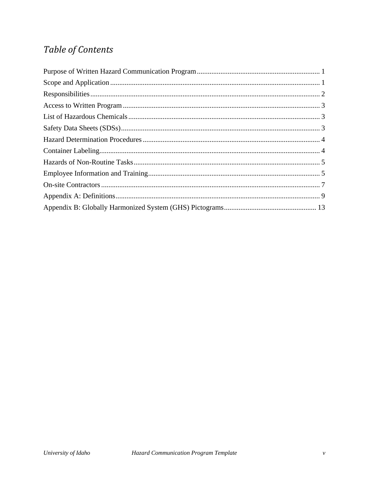# Table of Contents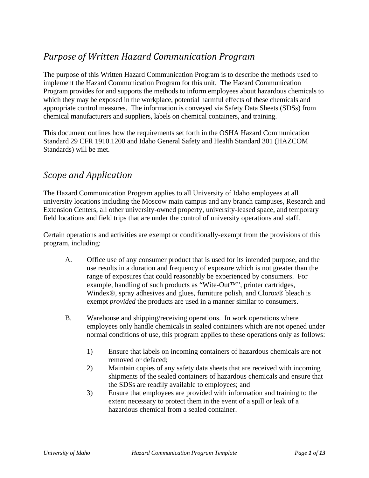# *Purpose of Written Hazard Communication Program*

The purpose of this Written Hazard Communication Program is to describe the methods used to implement the Hazard Communication Program for this unit. The Hazard Communication Program provides for and supports the methods to inform employees about hazardous chemicals to which they may be exposed in the workplace, potential harmful effects of these chemicals and appropriate control measures. The information is conveyed via Safety Data Sheets (SDSs) from chemical manufacturers and suppliers, labels on chemical containers, and training.

This document outlines how the requirements set forth in the OSHA Hazard Communication Standard 29 CFR 1910.1200 and Idaho General Safety and Health Standard 301 (HAZCOM Standards) will be met.

# *Scope and Application*

The Hazard Communication Program applies to all University of Idaho employees at all university locations including the Moscow main campus and any branch campuses, Research and Extension Centers, all other university-owned property, university-leased space, and temporary field locations and field trips that are under the control of university operations and staff.

Certain operations and activities are exempt or conditionally-exempt from the provisions of this program, including:

- A. Office use of any consumer product that is used for its intended purpose, and the use results in a duration and frequency of exposure which is not greater than the range of exposures that could reasonably be experienced by consumers. For example, handling of such products as "Wite-Out™", printer cartridges, Windex®, spray adhesives and glues, furniture polish, and Clorox® bleach is exempt *provided* the products are used in a manner similar to consumers.
- B. Warehouse and shipping/receiving operations. In work operations where employees only handle chemicals in sealed containers which are not opened under normal conditions of use, this program applies to these operations only as follows:
	- 1) Ensure that labels on incoming containers of hazardous chemicals are not removed or defaced;
	- 2) Maintain copies of any safety data sheets that are received with incoming shipments of the sealed containers of hazardous chemicals and ensure that the SDSs are readily available to employees; and
	- 3) Ensure that employees are provided with information and training to the extent necessary to protect them in the event of a spill or leak of a hazardous chemical from a sealed container.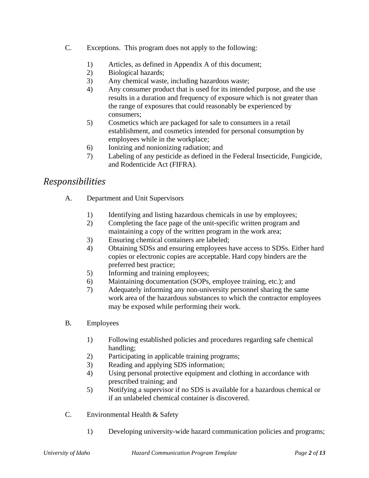- C. Exceptions. This program does not apply to the following:
	- 1) Articles, as defined in Appendix A of this document;
	- 2) Biological hazards;
	- 3) Any chemical waste, including hazardous waste;
	- 4) Any consumer product that is used for its intended purpose, and the use results in a duration and frequency of exposure which is not greater than the range of exposures that could reasonably be experienced by consumers;
	- 5) Cosmetics which are packaged for sale to consumers in a retail establishment, and cosmetics intended for personal consumption by employees while in the workplace;
	- 6) Ionizing and nonionizing radiation; and
	- 7) Labeling of any pesticide as defined in the Federal Insecticide, Fungicide, and Rodenticide Act (FIFRA).

#### *Responsibilities*

- A. Department and Unit Supervisors
	- 1) Identifying and listing hazardous chemicals in use by employees;
	- 2) Completing the face page of the unit-specific written program and maintaining a copy of the written program in the work area;
	- 3) Ensuring chemical containers are labeled;
	- 4) Obtaining SDSs and ensuring employees have access to SDSs. Either hard copies or electronic copies are acceptable. Hard copy binders are the preferred best practice;
	- 5) Informing and training employees;
	- 6) Maintaining documentation (SOPs, employee training, etc.); and
	- 7) Adequately informing any non-university personnel sharing the same work area of the hazardous substances to which the contractor employees may be exposed while performing their work.
- B. Employees
	- 1) Following established policies and procedures regarding safe chemical handling;
	- 2) Participating in applicable training programs;
	- 3) Reading and applying SDS information;
	- 4) Using personal protective equipment and clothing in accordance with prescribed training; and
	- 5) Notifying a supervisor if no SDS is available for a hazardous chemical or if an unlabeled chemical container is discovered.
- C. Environmental Health & Safety
	- 1) Developing university-wide hazard communication policies and programs;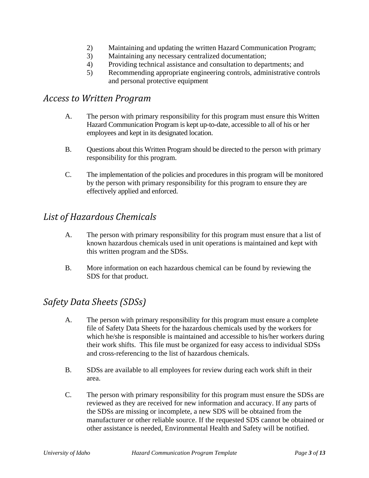- 2) Maintaining and updating the written Hazard Communication Program;
- 3) Maintaining any necessary centralized documentation;
- 4) Providing technical assistance and consultation to departments; and
- 5) Recommending appropriate engineering controls, administrative controls and personal protective equipment

#### *Access to Written Program*

- A. The person with primary responsibility for this program must ensure this Written Hazard Communication Program is kept up-to-date, accessible to all of his or her employees and kept in its designated location.
- B. Questions about this Written Program should be directed to the person with primary responsibility for this program.
- C. The implementation of the policies and procedures in this program will be monitored by the person with primary responsibility for this program to ensure they are effectively applied and enforced.

#### *List of Hazardous Chemicals*

- A. The person with primary responsibility for this program must ensure that a list of known hazardous chemicals used in unit operations is maintained and kept with this written program and the SDSs.
- B. More information on each hazardous chemical can be found by reviewing the SDS for that product.

# *Safety Data Sheets (SDSs)*

- A. The person with primary responsibility for this program must ensure a complete file of Safety Data Sheets for the hazardous chemicals used by the workers for which he/she is responsible is maintained and accessible to his/her workers during their work shifts. This file must be organized for easy access to individual SDSs and cross-referencing to the list of hazardous chemicals.
- B. SDSs are available to all employees for review during each work shift in their area.
- C. The person with primary responsibility for this program must ensure the SDSs are reviewed as they are received for new information and accuracy. If any parts of the SDSs are missing or incomplete, a new SDS will be obtained from the manufacturer or other reliable source. If the requested SDS cannot be obtained or other assistance is needed, Environmental Health and Safety will be notified.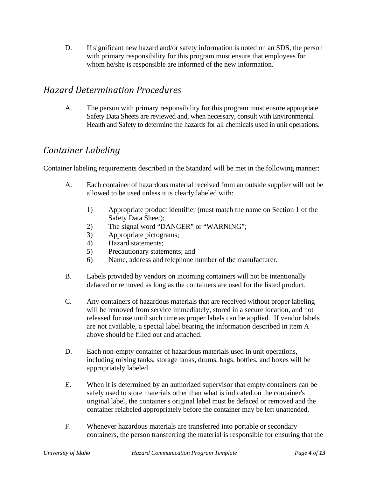D. If significant new hazard and/or safety information is noted on an SDS, the person with primary responsibility for this program must ensure that employees for whom he/she is responsible are informed of the new information.

# *Hazard Determination Procedures*

A. The person with primary responsibility for this program must ensure appropriate Safety Data Sheets are reviewed and, when necessary, consult with Environmental Health and Safety to determine the hazards for all chemicals used in unit operations.

# *Container Labeling*

Container labeling requirements described in the Standard will be met in the following manner:

- A. Each container of hazardous material received from an outside supplier will not be allowed to be used unless it is clearly labeled with:
	- 1) Appropriate product identifier (must match the name on Section 1 of the Safety Data Sheet);
	- 2) The signal word "DANGER" or "WARNING";
	- 3) Appropriate pictograms;
	- 4) Hazard statements;
	- 5) Precautionary statements; and
	- 6) Name, address and telephone number of the manufacturer.
- B. Labels provided by vendors on incoming containers will not be intentionally defaced or removed as long as the containers are used for the listed product.
- C. Any containers of hazardous materials that are received without proper labeling will be removed from service immediately, stored in a secure location, and not released for use until such time as proper labels can be applied. If vendor labels are not available, a special label bearing the information described in item A above should be filled out and attached.
- D. Each non-empty container of hazardous materials used in unit operations, including mixing tanks, storage tanks, drums, bags, bottles, and boxes will be appropriately labeled.
- E. When it is determined by an authorized supervisor that empty containers can be safely used to store materials other than what is indicated on the container's original label, the container's original label must be defaced or removed and the container relabeled appropriately before the container may be left unattended.
- F. Whenever hazardous materials are transferred into portable or secondary containers, the person transferring the material is responsible for ensuring that the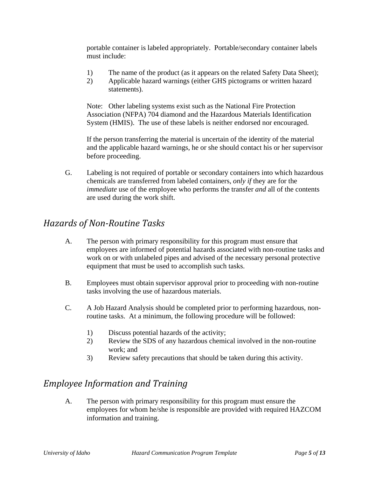portable container is labeled appropriately. Portable/secondary container labels must include:

- 1) The name of the product (as it appears on the related Safety Data Sheet);
- 2) Applicable hazard warnings (either GHS pictograms or written hazard statements).

Note: Other labeling systems exist such as the National Fire Protection Association (NFPA) 704 diamond and the Hazardous Materials Identification System (HMIS). The use of these labels is neither endorsed nor encouraged.

If the person transferring the material is uncertain of the identity of the material and the applicable hazard warnings, he or she should contact his or her supervisor before proceeding.

G. Labeling is not required of portable or secondary containers into which hazardous chemicals are transferred from labeled containers, *only if* they are for the *immediate* use of the employee who performs the transfer *and* all of the contents are used during the work shift.

# *Hazards of Non‐Routine Tasks*

- A. The person with primary responsibility for this program must ensure that employees are informed of potential hazards associated with non-routine tasks and work on or with unlabeled pipes and advised of the necessary personal protective equipment that must be used to accomplish such tasks.
- B. Employees must obtain supervisor approval prior to proceeding with non-routine tasks involving the use of hazardous materials.
- C. A Job Hazard Analysis should be completed prior to performing hazardous, nonroutine tasks. At a minimum, the following procedure will be followed:
	- 1) Discuss potential hazards of the activity;
	- 2) Review the SDS of any hazardous chemical involved in the non-routine work; and
	- 3) Review safety precautions that should be taken during this activity.

# *Employee Information and Training*

A. The person with primary responsibility for this program must ensure the employees for whom he/she is responsible are provided with required HAZCOM information and training.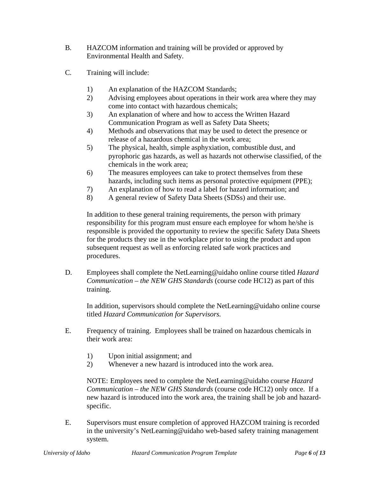- B. HAZCOM information and training will be provided or approved by Environmental Health and Safety.
- C. Training will include:
	- 1) An explanation of the HAZCOM Standards;
	- 2) Advising employees about operations in their work area where they may come into contact with hazardous chemicals;
	- 3) An explanation of where and how to access the Written Hazard Communication Program as well as Safety Data Sheets;
	- 4) Methods and observations that may be used to detect the presence or release of a hazardous chemical in the work area;
	- 5) The physical, health, simple asphyxiation, combustible dust, and pyrophoric gas hazards, as well as hazards not otherwise classified, of the chemicals in the work area;
	- 6) The measures employees can take to protect themselves from these hazards, including such items as personal protective equipment (PPE);
	- 7) An explanation of how to read a label for hazard information; and
	- 8) A general review of Safety Data Sheets (SDSs) and their use.

In addition to these general training requirements, the person with primary responsibility for this program must ensure each employee for whom he/she is responsible is provided the opportunity to review the specific Safety Data Sheets for the products they use in the workplace prior to using the product and upon subsequent request as well as enforcing related safe work practices and procedures.

D. Employees shall complete the NetLearning@uidaho online course titled *Hazard Communication – the NEW GHS Standards* (course code HC12) as part of this training.

In addition, supervisors should complete the NetLearning@uidaho online course titled *Hazard Communication for Supervisors.*

- E. Frequency of training. Employees shall be trained on hazardous chemicals in their work area:
	- 1) Upon initial assignment; and
	- 2) Whenever a new hazard is introduced into the work area.

NOTE: Employees need to complete the NetLearning@uidaho course *Hazard Communication – the NEW GHS Standards* (course code HC12) only once. If a new hazard is introduced into the work area, the training shall be job and hazardspecific.

E. Supervisors must ensure completion of approved HAZCOM training is recorded in the university's NetLearning@uidaho web-based safety training management system.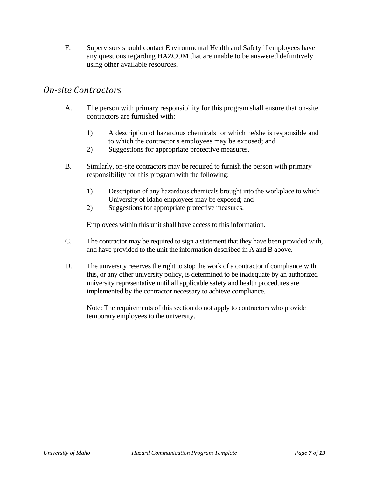F. Supervisors should contact Environmental Health and Safety if employees have any questions regarding HAZCOM that are unable to be answered definitively using other available resources.

### *On‐site Contractors*

- A. The person with primary responsibility for this program shall ensure that on-site contractors are furnished with:
	- 1) A description of hazardous chemicals for which he/she is responsible and to which the contractor's employees may be exposed; and
	- 2) Suggestions for appropriate protective measures.
- B. Similarly, on-site contractors may be required to furnish the person with primary responsibility for this program with the following:
	- 1) Description of any hazardous chemicals brought into the workplace to which University of Idaho employees may be exposed; and
	- 2) Suggestions for appropriate protective measures.

Employees within this unit shall have access to this information.

- C. The contractor may be required to sign a statement that they have been provided with, and have provided to the unit the information described in A and B above.
- D. The university reserves the right to stop the work of a contractor if compliance with this, or any other university policy, is determined to be inadequate by an authorized university representative until all applicable safety and health procedures are implemented by the contractor necessary to achieve compliance.

Note: The requirements of this section do not apply to contractors who provide temporary employees to the university.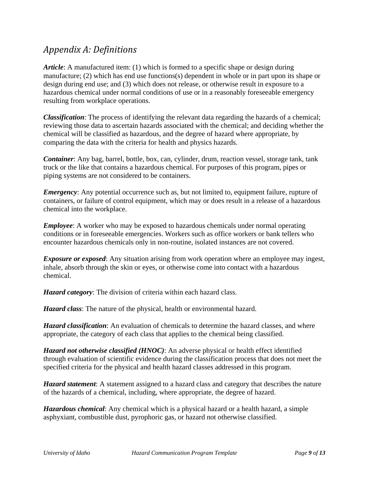# *Appendix A: Definitions*

*Article*: A manufactured item: (1) which is formed to a specific shape or design during manufacture; (2) which has end use functions(s) dependent in whole or in part upon its shape or design during end use; and (3) which does not release, or otherwise result in exposure to a hazardous chemical under normal conditions of use or in a reasonably foreseeable emergency resulting from workplace operations.

*Classification*: The process of identifying the relevant data regarding the hazards of a chemical; reviewing those data to ascertain hazards associated with the chemical; and deciding whether the chemical will be classified as hazardous, and the degree of hazard where appropriate, by comparing the data with the criteria for health and physics hazards.

*Container*: Any bag, barrel, bottle, box, can, cylinder, drum, reaction vessel, storage tank, tank truck or the like that contains a hazardous chemical. For purposes of this program, pipes or piping systems are not considered to be containers.

*Emergency*: Any potential occurrence such as, but not limited to, equipment failure, rupture of containers, or failure of control equipment, which may or does result in a release of a hazardous chemical into the workplace.

*Employee*: A worker who may be exposed to hazardous chemicals under normal operating conditions or in foreseeable emergencies. Workers such as office workers or bank tellers who encounter hazardous chemicals only in non-routine, isolated instances are not covered.

*Exposure or exposed*: Any situation arising from work operation where an employee may ingest, inhale, absorb through the skin or eyes, or otherwise come into contact with a hazardous chemical.

*Hazard category*: The division of criteria within each hazard class.

*Hazard class*: The nature of the physical, health or environmental hazard.

*Hazard classification*: An evaluation of chemicals to determine the hazard classes, and where appropriate, the category of each class that applies to the chemical being classified.

*Hazard not otherwise classified (HNOC)*: An adverse physical or health effect identified through evaluation of scientific evidence during the classification process that does not meet the specified criteria for the physical and health hazard classes addressed in this program.

*Hazard statement*: A statement assigned to a hazard class and category that describes the nature of the hazards of a chemical, including, where appropriate, the degree of hazard.

*Hazardous chemical*: Any chemical which is a physical hazard or a health hazard, a simple asphyxiant, combustible dust, pyrophoric gas, or hazard not otherwise classified.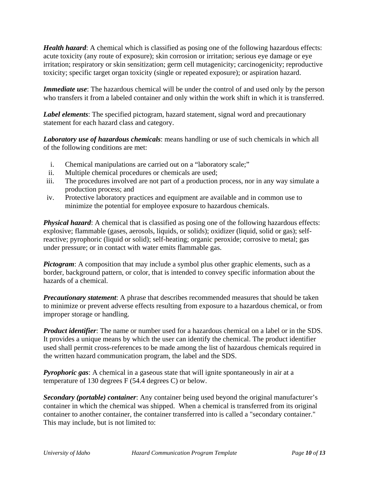*Health hazard*: A chemical which is classified as posing one of the following hazardous effects: acute toxicity (any route of exposure); skin corrosion or irritation; serious eye damage or eye irritation; respiratory or skin sensitization; germ cell mutagenicity; carcinogenicity; reproductive toxicity; specific target organ toxicity (single or repeated exposure); or aspiration hazard.

*Immediate use*: The hazardous chemical will be under the control of and used only by the person who transfers it from a labeled container and only within the work shift in which it is transferred.

*Label elements*: The specified pictogram, hazard statement, signal word and precautionary statement for each hazard class and category.

*Laboratory use of hazardous chemicals*: means handling or use of such chemicals in which all of the following conditions are met:

- i. Chemical manipulations are carried out on a "laboratory scale;"
- ii. Multiple chemical procedures or chemicals are used;
- iii. The procedures involved are not part of a production process, nor in any way simulate a production process; and
- iv. Protective laboratory practices and equipment are available and in common use to minimize the potential for employee exposure to hazardous chemicals.

*Physical hazard:* A chemical that is classified as posing one of the following hazardous effects: explosive; flammable (gases, aerosols, liquids, or solids); oxidizer (liquid, solid or gas); selfreactive; pyrophoric (liquid or solid); self-heating; organic peroxide; corrosive to metal; gas under pressure; or in contact with water emits flammable gas.

*Pictogram*: A composition that may include a symbol plus other graphic elements, such as a border, background pattern, or color, that is intended to convey specific information about the hazards of a chemical.

*Precautionary statement*: A phrase that describes recommended measures that should be taken to minimize or prevent adverse effects resulting from exposure to a hazardous chemical, or from improper storage or handling.

*Product identifier*: The name or number used for a hazardous chemical on a label or in the SDS. It provides a unique means by which the user can identify the chemical. The product identifier used shall permit cross-references to be made among the list of hazardous chemicals required in the written hazard communication program, the label and the SDS.

*Pyrophoric gas*: A chemical in a gaseous state that will ignite spontaneously in air at a temperature of 130 degrees F (54.4 degrees C) or below.

*Secondary (portable) container*: Any container being used beyond the original manufacturer's container in which the chemical was shipped. When a chemical is transferred from its original container to another container, the container transferred into is called a "secondary container." This may include, but is not limited to: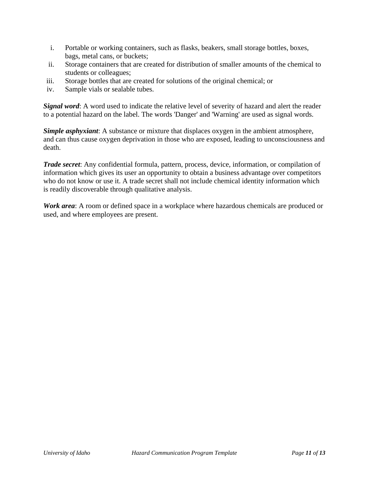- i. Portable or working containers, such as flasks, beakers, small storage bottles, boxes, bags, metal cans, or buckets;
- ii. Storage containers that are created for distribution of smaller amounts of the chemical to students or colleagues;
- iii. Storage bottles that are created for solutions of the original chemical; or
- iv. Sample vials or sealable tubes.

*Signal word*: A word used to indicate the relative level of severity of hazard and alert the reader to a potential hazard on the label. The words 'Danger' and 'Warning' are used as signal words.

*Simple asphyxiant*: A substance or mixture that displaces oxygen in the ambient atmosphere, and can thus cause oxygen deprivation in those who are exposed, leading to unconsciousness and death.

*Trade secret*: Any confidential formula, pattern, process, device, information, or compilation of information which gives its user an opportunity to obtain a business advantage over competitors who do not know or use it. A trade secret shall not include chemical identity information which is readily discoverable through qualitative analysis.

*Work area*: A room or defined space in a workplace where hazardous chemicals are produced or used, and where employees are present.